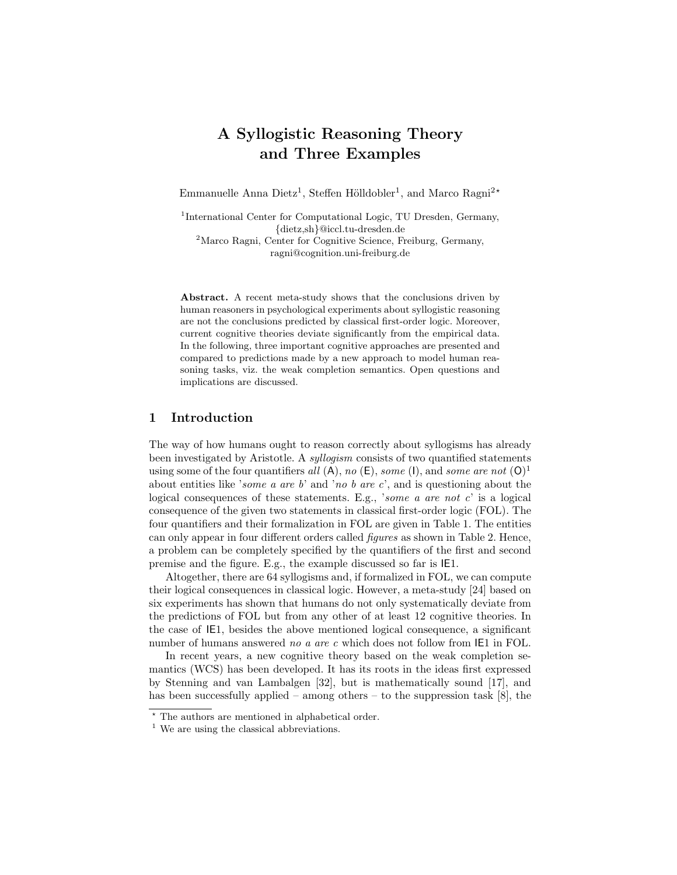# A Syllogistic Reasoning Theory and Three Examples

Emmanuelle Anna Dietz<sup>1</sup>, Steffen Hölldobler<sup>1</sup>, and Marco Ragni<sup>2\*</sup>

<sup>1</sup>International Center for Computational Logic, TU Dresden, Germany, {dietz,sh}@iccl.tu-dresden.de

<sup>2</sup>Marco Ragni, Center for Cognitive Science, Freiburg, Germany, ragni@cognition.uni-freiburg.de

Abstract. A recent meta-study shows that the conclusions driven by human reasoners in psychological experiments about syllogistic reasoning are not the conclusions predicted by classical first-order logic. Moreover, current cognitive theories deviate significantly from the empirical data. In the following, three important cognitive approaches are presented and compared to predictions made by a new approach to model human reasoning tasks, viz. the weak completion semantics. Open questions and implications are discussed.

# 1 Introduction

The way of how humans ought to reason correctly about syllogisms has already been investigated by Aristotle. A syllogism consists of two quantified statements using some of the four quantifiers all  $(A)$ , no  $(E)$ , some  $(I)$ , and some are not  $(O)^1$ about entities like 'some a are b' and 'no b are c', and is questioning about the logical consequences of these statements. E.g., 'some a are not c' is a logical consequence of the given two statements in classical first-order logic (FOL). The four quantifiers and their formalization in FOL are given in Table 1. The entities can only appear in four different orders called figures as shown in Table 2. Hence, a problem can be completely specified by the quantifiers of the first and second premise and the figure. E.g., the example discussed so far is IE1.

Altogether, there are 64 syllogisms and, if formalized in FOL, we can compute their logical consequences in classical logic. However, a meta-study [24] based on six experiments has shown that humans do not only systematically deviate from the predictions of FOL but from any other of at least 12 cognitive theories. In the case of IE1, besides the above mentioned logical consequence, a significant number of humans answered no a are c which does not follow from IE1 in FOL.

In recent years, a new cognitive theory based on the weak completion semantics (WCS) has been developed. It has its roots in the ideas first expressed by Stenning and van Lambalgen [32], but is mathematically sound [17], and has been successfully applied – among others – to the suppression task  $[8]$ , the

 $\overline{\cdot}$  The authors are mentioned in alphabetical order.

<sup>&</sup>lt;sup>1</sup> We are using the classical abbreviations.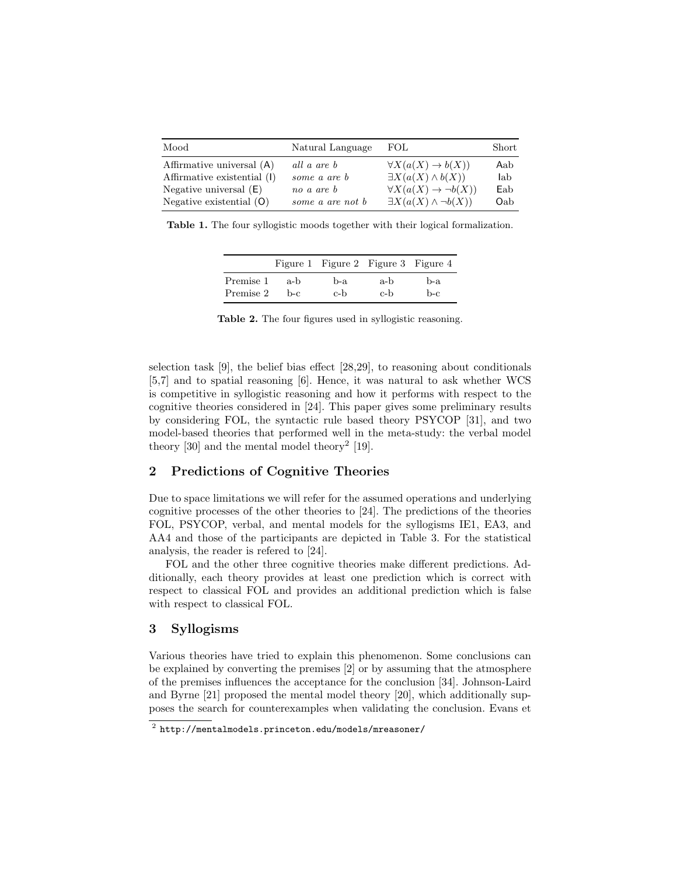| Mood                        | Natural Language | FOL.                                    | Short |
|-----------------------------|------------------|-----------------------------------------|-------|
| Affirmative universal (A)   | all a are b      | $\forall X(a(X) \rightarrow b(X))$      | Aab   |
| Affirmative existential (I) | some a are b     | $\exists X(a(X) \wedge b(X))$           | lab   |
| Negative universal $(E)$    | no a are b       | $\forall X(a(X) \rightarrow \neg b(X))$ | Eab   |
| Negative existential $(O)$  | some a are not b | $\exists X(a(X) \wedge \neg b(X))$      | Oab   |

Table 1. The four syllogistic moods together with their logical formalization.

|           |      | Figure 1 Figure 2 Figure 3 Figure 4 |     |     |
|-----------|------|-------------------------------------|-----|-----|
| Premise 1 | a-b  | b-a                                 | a-b | b-a |
| Premise 2 | b-c. | c-b                                 | c-b | b-c |

Table 2. The four figures used in syllogistic reasoning.

selection task [9], the belief bias effect [28,29], to reasoning about conditionals [5,7] and to spatial reasoning [6]. Hence, it was natural to ask whether WCS is competitive in syllogistic reasoning and how it performs with respect to the cognitive theories considered in [24]. This paper gives some preliminary results by considering FOL, the syntactic rule based theory PSYCOP [31], and two model-based theories that performed well in the meta-study: the verbal model theory  $[30]$  and the mental model theory<sup>2</sup>  $[19]$ .

# 2 Predictions of Cognitive Theories

Due to space limitations we will refer for the assumed operations and underlying cognitive processes of the other theories to [24]. The predictions of the theories FOL, PSYCOP, verbal, and mental models for the syllogisms IE1, EA3, and AA4 and those of the participants are depicted in Table 3. For the statistical analysis, the reader is refered to [24].

FOL and the other three cognitive theories make different predictions. Additionally, each theory provides at least one prediction which is correct with respect to classical FOL and provides an additional prediction which is false with respect to classical FOL.

# 3 Syllogisms

Various theories have tried to explain this phenomenon. Some conclusions can be explained by converting the premises [2] or by assuming that the atmosphere of the premises influences the acceptance for the conclusion [34]. Johnson-Laird and Byrne [21] proposed the mental model theory [20], which additionally supposes the search for counterexamples when validating the conclusion. Evans et

 $^{\rm 2}$  http://mentalmodels.princeton.edu/models/mreasoner/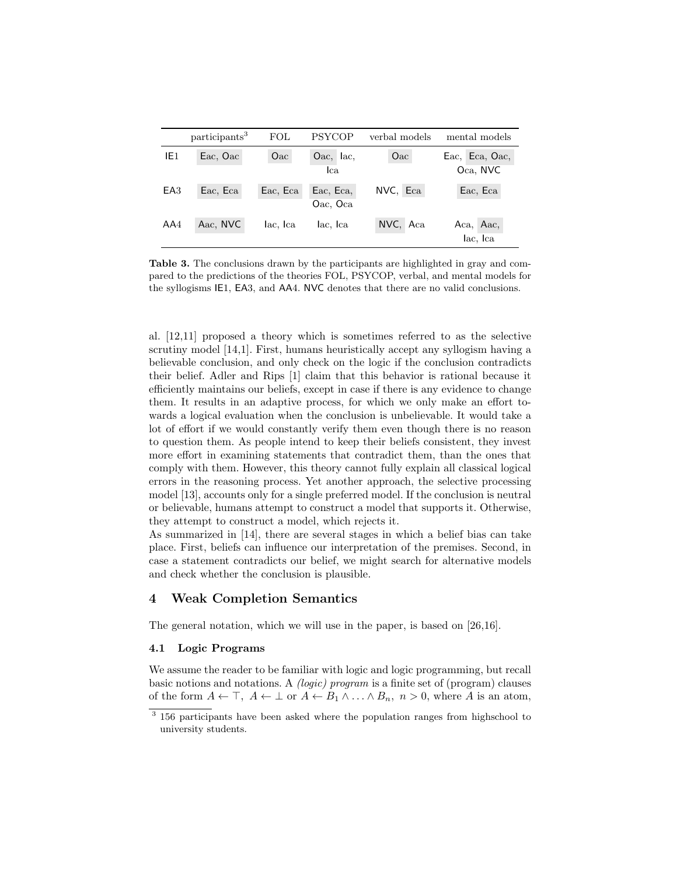|                 | participants <sup>3</sup> | FOL      | <b>PSYCOP</b>         | verbal models | mental models              |
|-----------------|---------------------------|----------|-----------------------|---------------|----------------------------|
| IE1             | Eac, Oac                  | Oac      | $Oac, \,$ lac,<br>lca | Oac           | Eac, Eca, Oac,<br>Oca, NVC |
| EA <sub>3</sub> | Eac, Eca                  | Eac, Eca | Eac, Eca,<br>Oac, Oca | NVC, Eca      | Eac, Eca                   |
| AA4             | Aac, NVC                  | lac, Ica | lac, Ica              | NVC, Aca      | Aca, Aac,<br>lac, Ica      |

Table 3. The conclusions drawn by the participants are highlighted in gray and compared to the predictions of the theories FOL, PSYCOP, verbal, and mental models for the syllogisms IE1, EA3, and AA4. NVC denotes that there are no valid conclusions.

al. [12,11] proposed a theory which is sometimes referred to as the selective scrutiny model [14,1]. First, humans heuristically accept any syllogism having a believable conclusion, and only check on the logic if the conclusion contradicts their belief. Adler and Rips [1] claim that this behavior is rational because it efficiently maintains our beliefs, except in case if there is any evidence to change them. It results in an adaptive process, for which we only make an effort towards a logical evaluation when the conclusion is unbelievable. It would take a lot of effort if we would constantly verify them even though there is no reason to question them. As people intend to keep their beliefs consistent, they invest more effort in examining statements that contradict them, than the ones that comply with them. However, this theory cannot fully explain all classical logical errors in the reasoning process. Yet another approach, the selective processing model [13], accounts only for a single preferred model. If the conclusion is neutral or believable, humans attempt to construct a model that supports it. Otherwise, they attempt to construct a model, which rejects it.

As summarized in [14], there are several stages in which a belief bias can take place. First, beliefs can influence our interpretation of the premises. Second, in case a statement contradicts our belief, we might search for alternative models and check whether the conclusion is plausible.

# 4 Weak Completion Semantics

The general notation, which we will use in the paper, is based on [26,16].

### 4.1 Logic Programs

We assume the reader to be familiar with logic and logic programming, but recall basic notions and notations. A (logic) program is a finite set of (program) clauses of the form  $A \leftarrow \top$ ,  $A \leftarrow \bot$  or  $A \leftarrow B_1 \land \ldots \land B_n$ ,  $n > 0$ , where A is an atom,

<sup>&</sup>lt;sup>3</sup> 156 participants have been asked where the population ranges from highschool to university students.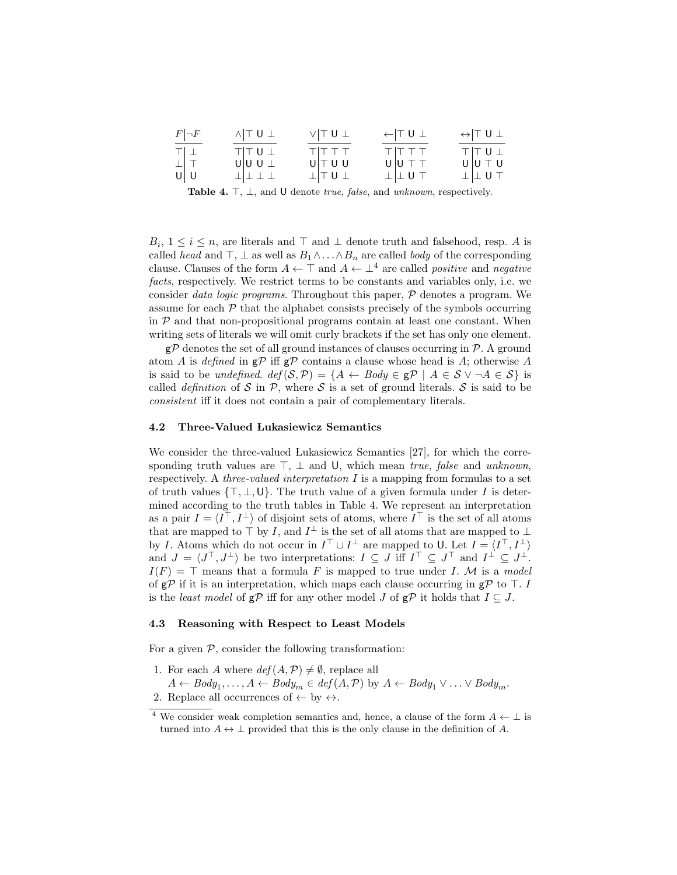| $F \neg F$                                                                                            | $\wedge$ TU $\perp$ | $V$ $T U$ $T$           | $\leftarrow$ TU $\perp$ | $\leftrightarrow$ TU $\perp$ |
|-------------------------------------------------------------------------------------------------------|---------------------|-------------------------|-------------------------|------------------------------|
| $\begin{array}{c} T \\ \bot \\ U \\ \end{array} \begin{array}{c} \bot \\ \top \\ \top \\ \end{array}$ | $T$ $T$ $U$ $L$     | TIT T T                 | $T$ $T$ $T$ $T$         | TTUL                         |
|                                                                                                       | U U U               | U T U U                 | $U U \top T$            | $U U \top U$                 |
|                                                                                                       | 工工工工                | $\perp$ $\perp$ $\perp$ | $\perp$ $\perp$ U T     | $\perp$ $\perp$ U T          |

Table 4.  $\top$ ,  $\bot$ , and U denote *true*, *false*, and *unknown*, respectively.

 $B_i, 1 \leq i \leq n$ , are literals and  $\top$  and  $\bot$  denote truth and falsehood, resp. A is called head and  $\top$ ,  $\bot$  as well as  $B_1 \wedge \ldots \wedge B_n$  are called body of the corresponding clause. Clauses of the form  $A \leftarrow \top$  and  $A \leftarrow \bot^4$  are called *positive* and *negative* facts, respectively. We restrict terms to be constants and variables only, i.e. we consider data logic programs. Throughout this paper, P denotes a program. We assume for each  $P$  that the alphabet consists precisely of the symbols occurring in  $P$  and that non-propositional programs contain at least one constant. When writing sets of literals we will omit curly brackets if the set has only one element.

 $g\mathcal{P}$  denotes the set of all ground instances of clauses occurring in  $\mathcal{P}$ . A ground atom A is defined in  $g\mathcal{P}$  iff  $g\mathcal{P}$  contains a clause whose head is A; otherwise A is said to be *undefined.*  $def(S, \mathcal{P}) = \{A \leftarrow Body \in \mathcal{P} \mid A \in \mathcal{S} \lor \neg A \in \mathcal{S}\}\$ is called *definition* of S in P, where S is a set of ground literals. S is said to be consistent iff it does not contain a pair of complementary literals.

#### 4.2 Three-Valued Lukasiewicz Semantics

We consider the three-valued Lukasiewicz Semantics [27], for which the corresponding truth values are  $\top$ ,  $\bot$  and U, which mean true, false and unknown, respectively. A three-valued interpretation  $I$  is a mapping from formulas to a set of truth values  $\{\top, \bot, \mathsf{U}\}\$ . The truth value of a given formula under I is determined according to the truth tables in Table 4. We represent an interpretation as a pair  $I = \langle I^{\top}, I^{\perp} \rangle$  of disjoint sets of atoms, where  $I^{\top}$  is the set of all atoms that are mapped to  $\top$  by I, and  $I^{\perp}$  is the set of all atoms that are mapped to  $\perp$ by I. Atoms which do not occur in  $I^{\top} \cup I^{\perp}$  are mapped to U. Let  $I = \langle I^{\top}, I^{\perp} \rangle$ and  $J = \langle J^{\top}, J^{\perp} \rangle$  be two interpretations:  $I \subseteq J$  iff  $I^{\top} \subseteq J^{\top}$  and  $I^{\perp} \subseteq J^{\perp}$ .  $I(F) = \top$  means that a formula F is mapped to true under I. M is a model of  $g\mathcal{P}$  if it is an interpretation, which maps each clause occurring in  $g\mathcal{P}$  to  $\top$ . I is the *least model* of  $g\mathcal{P}$  iff for any other model J of  $g\mathcal{P}$  it holds that  $I \subseteq J$ .

#### 4.3 Reasoning with Respect to Least Models

For a given  $P$ , consider the following transformation:

1. For each A where  $def(A, \mathcal{P}) \neq \emptyset$ , replace all  $A \leftarrow Body_1, \ldots, A \leftarrow Body_m \in def(A, \mathcal{P})$  by  $A \leftarrow Body_1 \vee \ldots \vee Body_m$ . 2. Replace all occurrences of  $\leftarrow$  by  $\leftrightarrow$ .

<sup>&</sup>lt;sup>4</sup> We consider weak completion semantics and, hence, a clause of the form  $A \leftarrow \perp$  is

turned into  $A \leftrightarrow \perp$  provided that this is the only clause in the definition of A.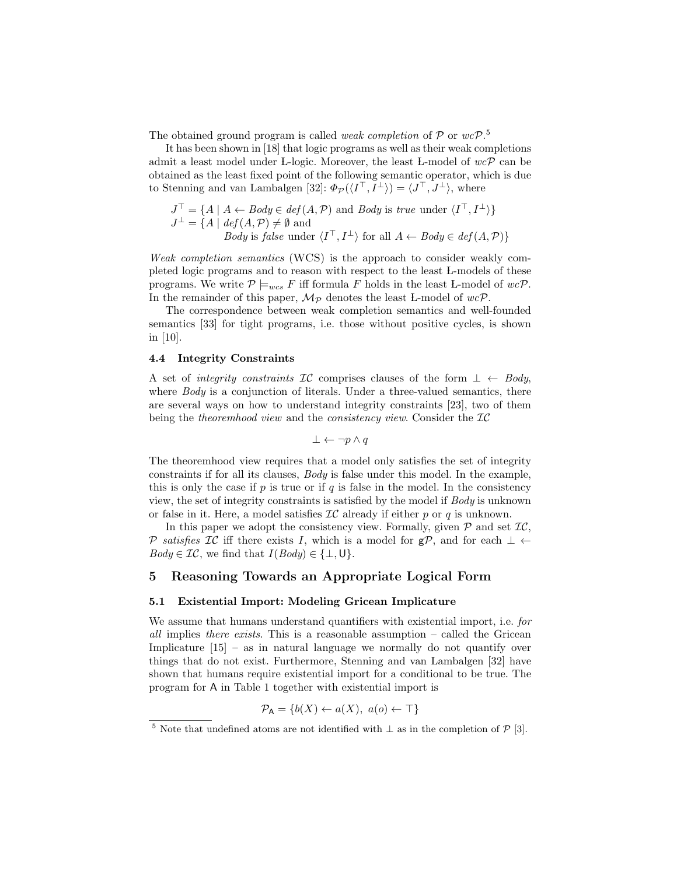The obtained ground program is called *weak completion* of  $P$  or  $wcP$ .<sup>5</sup>

It has been shown in [18] that logic programs as well as their weak completions admit a least model under L-logic. Moreover, the least L-model of  $wc\mathcal{P}$  can be obtained as the least fixed point of the following semantic operator, which is due to Stenning and van Lambalgen [32]:  $\Phi_{\mathcal{P}}(\langle I^{\top}, I^{\perp} \rangle) = \langle J^{\top}, J^{\perp} \rangle$ , where

$$
J^{\top} = \{ A \mid A \leftarrow Body \in def(A, \mathcal{P}) \text{ and } Body \text{ is } true \text{ under } \langle I^{\top}, I^{\perp} \rangle \}
$$
  

$$
J^{\perp} = \{ A \mid def(A, \mathcal{P}) \neq \emptyset \text{ and }
$$
  
*Body is false* under  $\langle I^{\top}, I^{\perp} \rangle$  for all  $A \leftarrow Body \in def(A, \mathcal{P}) \}$ 

Weak completion semantics (WCS) is the approach to consider weakly completed logic programs and to reason with respect to the least L-models of these programs. We write  $P \models_{wcs} F$  iff formula F holds in the least L-model of  $wc\mathcal{P}$ . In the remainder of this paper,  $\mathcal{M}_{\mathcal{P}}$  denotes the least L-model of  $wc\mathcal{P}$ .

The correspondence between weak completion semantics and well-founded semantics [33] for tight programs, i.e. those without positive cycles, is shown in [10].

### 4.4 Integrity Constraints

A set of integrity constraints IC comprises clauses of the form  $\bot \leftarrow Body$ , where  $Body$  is a conjunction of literals. Under a three-valued semantics, there are several ways on how to understand integrity constraints [23], two of them being the theoremhood view and the consistency view. Consider the  $IC$ 

$$
\bot \leftarrow \neg p \land q
$$

The theoremhood view requires that a model only satisfies the set of integrity constraints if for all its clauses, Body is false under this model. In the example, this is only the case if  $p$  is true or if  $q$  is false in the model. In the consistency view, the set of integrity constraints is satisfied by the model if Body is unknown or false in it. Here, a model satisfies  $\mathcal{IC}$  already if either p or q is unknown.

In this paper we adopt the consistency view. Formally, given  $P$  and set  $IC$ , P satisfies IC iff there exists I, which is a model for  $g\mathcal{P}$ , and for each  $\perp$  ←  $Body \in \mathcal{IC}$ , we find that  $I(Body) \in {\{\perp, \mathsf{U}\}}$ .

### 5 Reasoning Towards an Appropriate Logical Form

### 5.1 Existential Import: Modeling Gricean Implicature

We assume that humans understand quantifiers with existential import, i.e. for all implies there exists. This is a reasonable assumption – called the Gricean Implicature [15] – as in natural language we normally do not quantify over things that do not exist. Furthermore, Stenning and van Lambalgen [32] have shown that humans require existential import for a conditional to be true. The program for A in Table 1 together with existential import is

$$
\mathcal{P}_{\mathsf{A}} = \{b(X) \leftarrow a(X), \ a(o) \leftarrow \top\}
$$

<sup>&</sup>lt;sup>5</sup> Note that undefined atoms are not identified with  $\perp$  as in the completion of  $\mathcal{P}$  [3].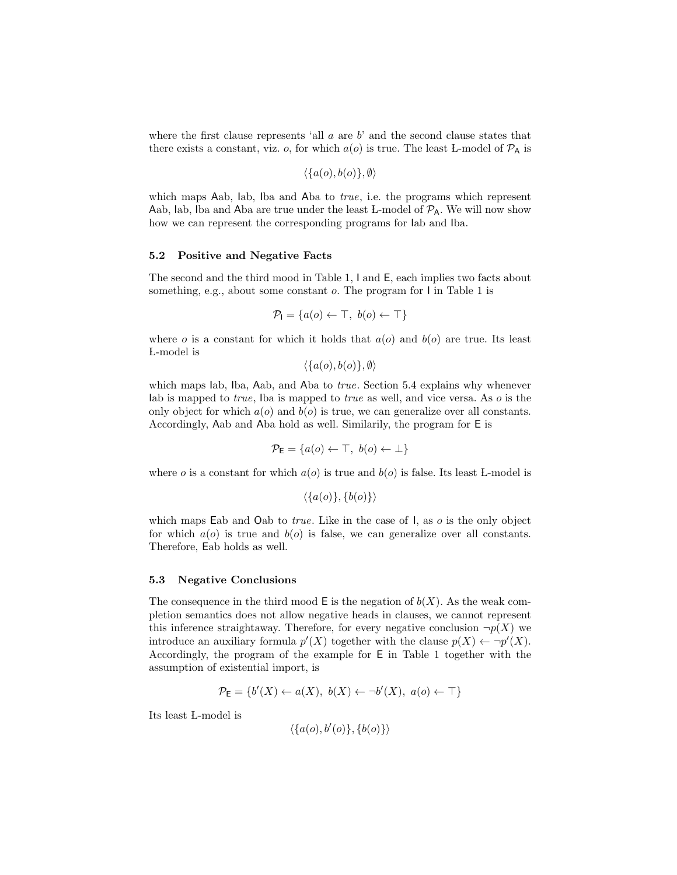where the first clause represents 'all  $a$  are  $b$ ' and the second clause states that there exists a constant, viz. o, for which  $a(o)$  is true. The least L-model of  $P_A$  is

$$
\langle \{a(o), b(o)\}, \emptyset \rangle
$$

which maps Aab, Iab, Iba and Aba to *true*, i.e. the programs which represent Aab, lab, Iba and Aba are true under the least L-model of  $P_A$ . We will now show how we can represent the corresponding programs for Iab and Iba.

#### 5.2 Positive and Negative Facts

The second and the third mood in Table 1, I and E, each implies two facts about something, e.g., about some constant  $o$ . The program for I in Table 1 is

$$
\mathcal{P}_I = \{a(o) \leftarrow \top, \ b(o) \leftarrow \top\}
$$

where o is a constant for which it holds that  $a(o)$  and  $b(o)$  are true. Its least L-model is

 $\langle \{a(o), b(o)\}, \emptyset \rangle$ 

which maps lab, Iba, Aab, and Aba to *true*. Section 5.4 explains why whenever lab is mapped to *true*, Iba is mapped to *true* as well, and vice versa. As  $\sigma$  is the only object for which  $a(o)$  and  $b(o)$  is true, we can generalize over all constants. Accordingly, Aab and Aba hold as well. Similarily, the program for E is

$$
\mathcal{P}_{\mathsf{E}} = \{a(o) \leftarrow \top, \ b(o) \leftarrow \bot\}
$$

where o is a constant for which  $a(o)$  is true and  $b(o)$  is false. Its least L-model is

$$
\langle \{a(o)\}, \{b(o)\}\rangle
$$

which maps Eab and Oab to *true*. Like in the case of I, as *o* is the only object for which  $a(o)$  is true and  $b(o)$  is false, we can generalize over all constants. Therefore, Eab holds as well.

#### 5.3 Negative Conclusions

The consequence in the third mood  $E$  is the negation of  $b(X)$ . As the weak completion semantics does not allow negative heads in clauses, we cannot represent this inference straightaway. Therefore, for every negative conclusion  $\neg p(X)$  we introduce an auxiliary formula  $p'(X)$  together with the clause  $p(X) \leftarrow \neg p'(X)$ . Accordingly, the program of the example for E in Table 1 together with the assumption of existential import, is

$$
\mathcal{P}_{\mathsf{E}} = \{b'(X) \leftarrow a(X), \ b(X) \leftarrow \neg b'(X), \ a(o) \leftarrow \top\}
$$

Its least L-model is

$$
\langle \{a(o), b'(o)\}, \{b(o)\}\rangle
$$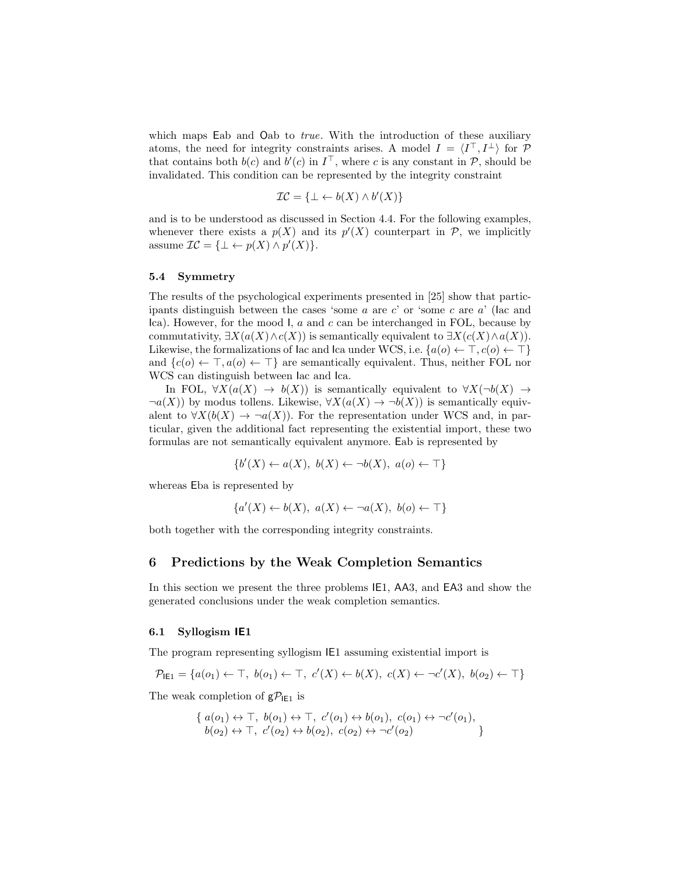which maps Eab and Oab to *true*. With the introduction of these auxiliary atoms, the need for integrity constraints arises. A model  $I = \langle I^{\top}, I^{\perp} \rangle$  for  $\mathcal{P}$ that contains both  $b(c)$  and  $b'(c)$  in  $I^{\top}$ , where c is any constant in  $\mathcal{P}$ , should be invalidated. This condition can be represented by the integrity constraint

$$
\mathcal{IC} = \{ \bot \leftarrow b(X) \land b'(X) \}
$$

and is to be understood as discussed in Section 4.4. For the following examples, whenever there exists a  $p(X)$  and its  $p'(X)$  counterpart in P, we implicitly assume  $\mathcal{IC} = {\perp \leftarrow p(X) \land p'(X)}$ .

#### 5.4 Symmetry

The results of the psychological experiments presented in [25] show that participants distinguish between the cases 'some  $a$  are  $c'$  or 'some  $c$  are  $a'$  (lac and Ica). However, for the mood I,  $a$  and  $c$  can be interchanged in FOL, because by commutativity,  $\exists X(a(X) \land c(X))$  is semantically equivalent to  $\exists X(c(X) \land a(X))$ . Likewise, the formalizations of lac and lca under WCS, i.e.  $\{a(o) \leftarrow \top, c(o) \leftarrow \top\}$ and  $\{c(o) \leftarrow \top, a(o) \leftarrow \top\}$  are semantically equivalent. Thus, neither FOL nor WCS can distinguish between Iac and Ica.

In FOL,  $\forall X(a(X) \rightarrow b(X))$  is semantically equivalent to  $\forall X(\neg b(X) \rightarrow b(X))$  $\neg a(X)$ ) by modus tollens. Likewise,  $\forall X(a(X) \rightarrow \neg b(X))$  is semantically equivalent to  $\forall X(b(X) \rightarrow \neg a(X))$ . For the representation under WCS and, in particular, given the additional fact representing the existential import, these two formulas are not semantically equivalent anymore. Eab is represented by

$$
\{b'(X) \leftarrow a(X), \ b(X) \leftarrow \neg b(X), \ a(o) \leftarrow \top\}
$$

whereas Eba is represented by

$$
\{a'(X) \leftarrow b(X), \ a(X) \leftarrow \neg a(X), \ b(o) \leftarrow \top\}
$$

both together with the corresponding integrity constraints.

#### 6 Predictions by the Weak Completion Semantics

In this section we present the three problems IE1, AA3, and EA3 and show the generated conclusions under the weak completion semantics.

### 6.1 Syllogism IE1

The program representing syllogism IE1 assuming existential import is

$$
\mathcal{P}_{\mathsf{IE1}} = \{a(o_1) \leftarrow \top, \ b(o_1) \leftarrow \top, \ c'(X) \leftarrow b(X), \ c(X) \leftarrow \neg c'(X), \ b(o_2) \leftarrow \top\}
$$

The weak completion of  $g\mathcal{P}_{\mathsf{IE}1}$  is

$$
\{ a(o_1) \leftrightarrow \top, b(o_1) \leftrightarrow \top, c'(o_1) \leftrightarrow b(o_1), c(o_1) \leftrightarrow \neg c'(o_1), b(o_2) \leftrightarrow \top, c'(o_2) \leftrightarrow b(o_2), c(o_2) \leftrightarrow \neg c'(o_2) \}
$$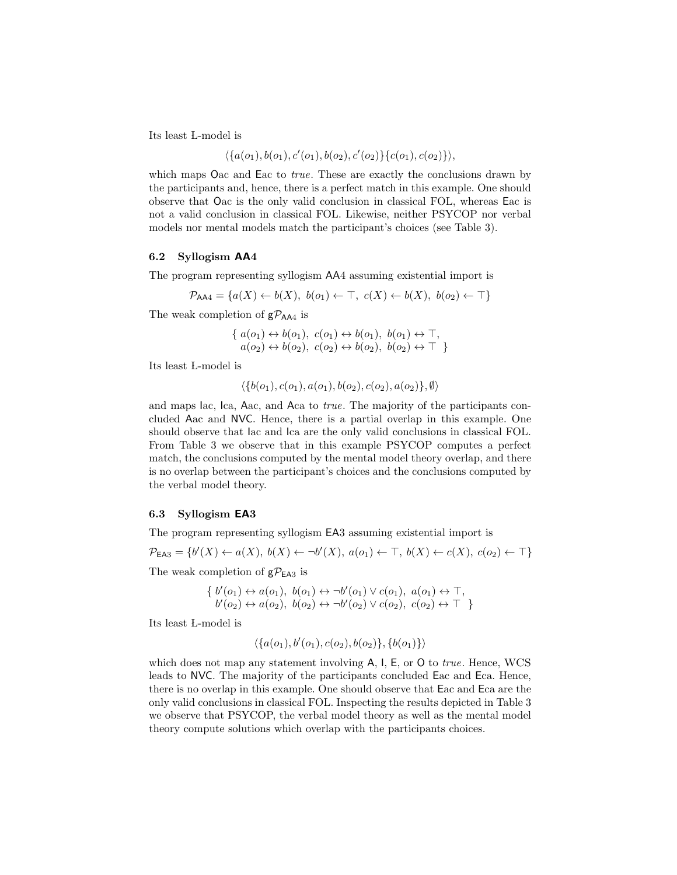Its least L-model is

$$
\langle \{a(o_1), b(o_1), c'(o_1), b(o_2), c'(o_2)\}\{c(o_1), c(o_2)\}\rangle,
$$

which maps Oac and Eac to *true*. These are exactly the conclusions drawn by the participants and, hence, there is a perfect match in this example. One should observe that Oac is the only valid conclusion in classical FOL, whereas Eac is not a valid conclusion in classical FOL. Likewise, neither PSYCOP nor verbal models nor mental models match the participant's choices (see Table 3).

#### 6.2 Syllogism AA4

The program representing syllogism AA4 assuming existential import is

$$
\mathcal{P}_{\mathsf{AAA}} = \{a(X) \leftarrow b(X), \ b(o_1) \leftarrow \top, \ c(X) \leftarrow b(X), \ b(o_2) \leftarrow \top\}
$$

The weak completion of  $gP_{AA4}$  is

$$
\{ a(o_1) \leftrightarrow b(o_1), c(o_1) \leftrightarrow b(o_1), b(o_1) \leftrightarrow \top, a(o_2) \leftrightarrow b(o_2), c(o_2) \leftrightarrow b(o_2), b(o_2) \leftrightarrow \top \}
$$

Its least L-model is

 $\langle \{b(o_1), c(o_1), a(o_1), b(o_2), c(o_2), a(o_2)\}, \emptyset \rangle$ 

and maps Iac, Ica, Aac, and Aca to true. The majority of the participants concluded Aac and NVC. Hence, there is a partial overlap in this example. One should observe that Iac and Ica are the only valid conclusions in classical FOL. From Table 3 we observe that in this example PSYCOP computes a perfect match, the conclusions computed by the mental model theory overlap, and there is no overlap between the participant's choices and the conclusions computed by the verbal model theory.

#### 6.3 Syllogism EA3

The program representing syllogism EA3 assuming existential import is

$$
\mathcal{P}_{\mathsf{EA3}} = \{b'(X) \leftarrow a(X), b(X) \leftarrow \neg b'(X), a(o_1) \leftarrow \top, b(X) \leftarrow c(X), c(o_2) \leftarrow \top\}
$$

The weak completion of  $g\mathcal{P}_{\text{EA3}}$  is

$$
\{ b'(o_1) \leftrightarrow a(o_1), b(o_1) \leftrightarrow \neg b'(o_1) \lor c(o_1), a(o_1) \leftrightarrow \top, b'(o_2) \leftrightarrow a(o_2), b(o_2) \leftrightarrow \neg b'(o_2) \lor c(o_2), c(o_2) \leftrightarrow \top \}
$$

Its least L-model is

$$
\langle \{a(o_1), b'(o_1), c(o_2), b(o_2)\}, \{b(o_1)\}\rangle
$$

which does not map any statement involving A, I, E, or O to *true*. Hence, WCS leads to NVC. The majority of the participants concluded Eac and Eca. Hence, there is no overlap in this example. One should observe that Eac and Eca are the only valid conclusions in classical FOL. Inspecting the results depicted in Table 3 we observe that PSYCOP, the verbal model theory as well as the mental model theory compute solutions which overlap with the participants choices.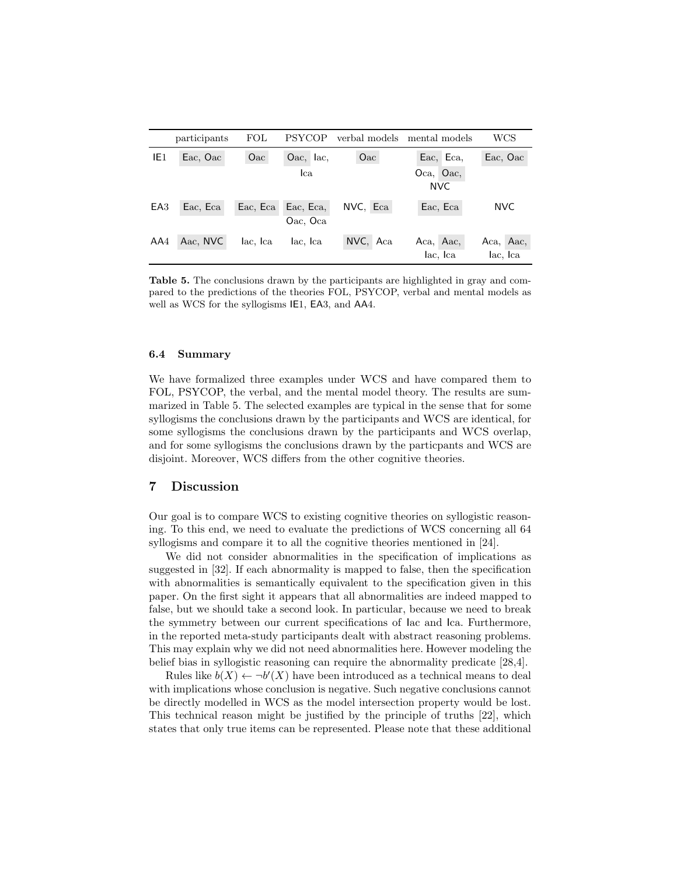|                 | participants | $_{\rm FOL}$ | PSYCOP    | verbal models | mental models | WCS        |
|-----------------|--------------|--------------|-----------|---------------|---------------|------------|
| IE <sub>1</sub> | Eac, Oac     | Oac          | Oac, lac, | Oac           | Eac, Eca,     | Eac, Oac   |
|                 |              |              | lca       |               | Oca, Oac,     |            |
|                 |              |              |           |               | <b>NVC</b>    |            |
| EA <sub>3</sub> | Eac, Eca     | Eac, Eca     | Eac, Eca, | NVC, Eca      | Eac, Eca      | <b>NVC</b> |
|                 |              |              | Oac, Oca  |               |               |            |
| AA4             | Aac, NVC     | lac, Ica     | lac, Ica  | NVC, Aca      | Aca, Aac,     | Aca, Aac,  |
|                 |              |              |           |               | lac, Ica      | lac, Ica   |

Table 5. The conclusions drawn by the participants are highlighted in gray and compared to the predictions of the theories FOL, PSYCOP, verbal and mental models as well as WCS for the syllogisms IE1, EA3, and AA4.

### 6.4 Summary

We have formalized three examples under WCS and have compared them to FOL, PSYCOP, the verbal, and the mental model theory. The results are summarized in Table 5. The selected examples are typical in the sense that for some syllogisms the conclusions drawn by the participants and WCS are identical, for some syllogisms the conclusions drawn by the participants and WCS overlap, and for some syllogisms the conclusions drawn by the particpants and WCS are disjoint. Moreover, WCS differs from the other cognitive theories.

# 7 Discussion

Our goal is to compare WCS to existing cognitive theories on syllogistic reasoning. To this end, we need to evaluate the predictions of WCS concerning all 64 syllogisms and compare it to all the cognitive theories mentioned in [24].

We did not consider abnormalities in the specification of implications as suggested in [32]. If each abnormality is mapped to false, then the specification with abnormalities is semantically equivalent to the specification given in this paper. On the first sight it appears that all abnormalities are indeed mapped to false, but we should take a second look. In particular, because we need to break the symmetry between our current specifications of Iac and Ica. Furthermore, in the reported meta-study participants dealt with abstract reasoning problems. This may explain why we did not need abnormalities here. However modeling the belief bias in syllogistic reasoning can require the abnormality predicate [28,4].

Rules like  $b(X) \leftarrow \neg b'(X)$  have been introduced as a technical means to deal with implications whose conclusion is negative. Such negative conclusions cannot be directly modelled in WCS as the model intersection property would be lost. This technical reason might be justified by the principle of truths [22], which states that only true items can be represented. Please note that these additional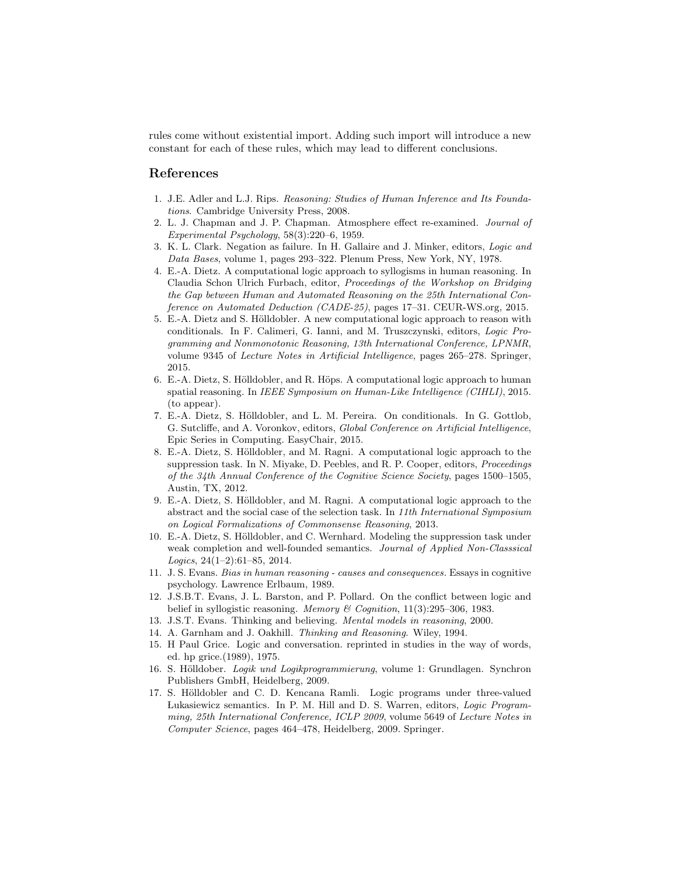rules come without existential import. Adding such import will introduce a new constant for each of these rules, which may lead to different conclusions.

### References

- 1. J.E. Adler and L.J. Rips. Reasoning: Studies of Human Inference and Its Foundations. Cambridge University Press, 2008.
- 2. L. J. Chapman and J. P. Chapman. Atmosphere effect re-examined. Journal of Experimental Psychology, 58(3):220–6, 1959.
- 3. K. L. Clark. Negation as failure. In H. Gallaire and J. Minker, editors, Logic and Data Bases, volume 1, pages 293–322. Plenum Press, New York, NY, 1978.
- 4. E.-A. Dietz. A computational logic approach to syllogisms in human reasoning. In Claudia Schon Ulrich Furbach, editor, Proceedings of the Workshop on Bridging the Gap between Human and Automated Reasoning on the 25th International Conference on Automated Deduction (CADE-25), pages 17–31. CEUR-WS.org, 2015.
- 5. E.-A. Dietz and S. Hölldobler. A new computational logic approach to reason with conditionals. In F. Calimeri, G. Ianni, and M. Truszczynski, editors, Logic Programming and Nonmonotonic Reasoning, 13th International Conference, LPNMR, volume 9345 of Lecture Notes in Artificial Intelligence, pages 265–278. Springer, 2015.
- 6. E.-A. Dietz, S. Hölldobler, and R. Höps. A computational logic approach to human spatial reasoning. In *IEEE Symposium on Human-Like Intelligence (CIHLI)*, 2015. (to appear).
- 7. E.-A. Dietz, S. H¨olldobler, and L. M. Pereira. On conditionals. In G. Gottlob, G. Sutcliffe, and A. Voronkov, editors, Global Conference on Artificial Intelligence, Epic Series in Computing. EasyChair, 2015.
- 8. E.-A. Dietz, S. Hölldobler, and M. Ragni. A computational logic approach to the suppression task. In N. Miyake, D. Peebles, and R. P. Cooper, editors, Proceedings of the 34th Annual Conference of the Cognitive Science Society, pages 1500–1505, Austin, TX, 2012.
- 9. E.-A. Dietz, S. Hölldobler, and M. Ragni. A computational logic approach to the abstract and the social case of the selection task. In 11th International Symposium on Logical Formalizations of Commonsense Reasoning, 2013.
- 10. E.-A. Dietz, S. Hölldobler, and C. Wernhard. Modeling the suppression task under weak completion and well-founded semantics. Journal of Applied Non-Classsical Logics, 24(1–2):61–85, 2014.
- 11. J. S. Evans. Bias in human reasoning causes and consequences. Essays in cognitive psychology. Lawrence Erlbaum, 1989.
- 12. J.S.B.T. Evans, J. L. Barston, and P. Pollard. On the conflict between logic and belief in syllogistic reasoning. Memory & Cognition,  $11(3):295-306$ , 1983.
- 13. J.S.T. Evans. Thinking and believing. Mental models in reasoning, 2000.
- 14. A. Garnham and J. Oakhill. Thinking and Reasoning. Wiley, 1994.
- 15. H Paul Grice. Logic and conversation. reprinted in studies in the way of words, ed. hp grice.(1989), 1975.
- 16. S. Hölldober. Logik und Logikprogrammierung, volume 1: Grundlagen. Synchron Publishers GmbH, Heidelberg, 2009.
- 17. S. Hölldobler and C. D. Kencana Ramli. Logic programs under three-valued Lukasiewicz semantics. In P. M. Hill and D. S. Warren, editors, Logic Programming, 25th International Conference, ICLP 2009, volume 5649 of Lecture Notes in Computer Science, pages 464–478, Heidelberg, 2009. Springer.